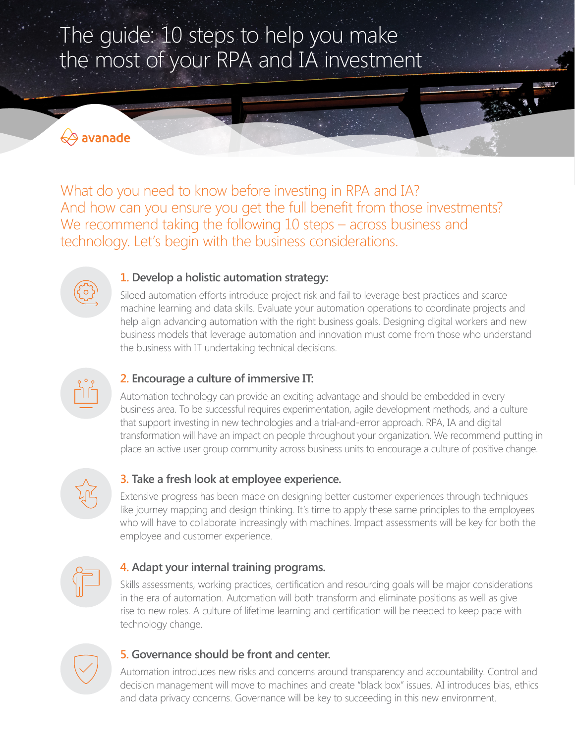# The guide: 10 steps to help you make the most of your RPA and IA investment

# **√avanade**

What do you need to know before investing in RPA and IA? And how can you ensure you get the full benefit from those investments? We recommend taking the following 10 steps – across business and technology. Let's begin with the business considerations.



## **1. Develop a holistic automation strategy:**

Siloed automation efforts introduce project risk and fail to leverage best practices and scarce machine learning and data skills. Evaluate your automation operations to coordinate projects and help align advancing automation with the right business goals. Designing digital workers and new business models that leverage automation and innovation must come from those who understand the business with IT undertaking technical decisions.



## **2. Encourage a culture of immersive IT:**

Automation technology can provide an exciting advantage and should be embedded in every business area. To be successful requires experimentation, agile development methods, and a culture that support investing in new technologies and a trial-and-error approach. RPA, IA and digital transformation will have an impact on people throughout your organization. We recommend putting in place an active user group community across business units to encourage a culture of positive change.



# **3. Take a fresh look at employee experience.**

Extensive progress has been made on designing better customer experiences through techniques like journey mapping and design thinking. It's time to apply these same principles to the employees who will have to collaborate increasingly with machines. Impact assessments will be key for both the employee and customer experience.



## **4. Adapt your internal training programs.**

Skills assessments, working practices, certification and resourcing goals will be major considerations in the era of automation. Automation will both transform and eliminate positions as well as give rise to new roles. A culture of lifetime learning and certification will be needed to keep pace with technology change.



#### **5. Governance should be front and center.**

Automation introduces new risks and concerns around transparency and accountability. Control and decision management will move to machines and create "black box" issues. AI introduces bias, ethics and data privacy concerns. Governance will be key to succeeding in this new environment.